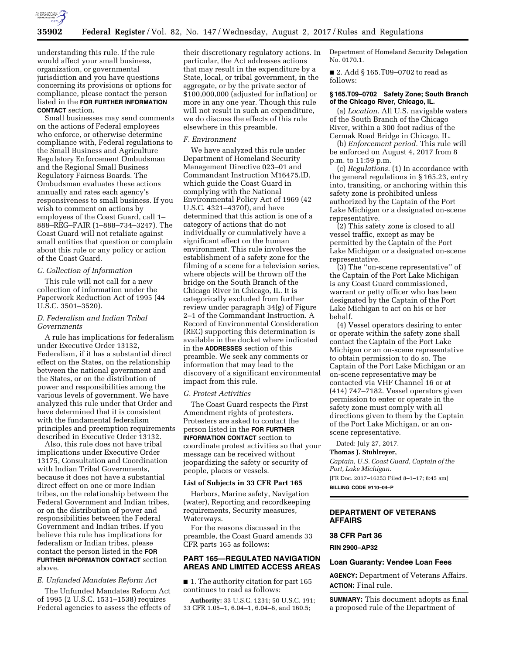

understanding this rule. If the rule would affect your small business, organization, or governmental jurisdiction and you have questions concerning its provisions or options for compliance, please contact the person listed in the **FOR FURTHER INFORMATION CONTACT** section.

Small businesses may send comments on the actions of Federal employees who enforce, or otherwise determine compliance with, Federal regulations to the Small Business and Agriculture Regulatory Enforcement Ombudsman and the Regional Small Business Regulatory Fairness Boards. The Ombudsman evaluates these actions annually and rates each agency's responsiveness to small business. If you wish to comment on actions by employees of the Coast Guard, call 1– 888–REG–FAIR (1–888–734–3247). The Coast Guard will not retaliate against small entities that question or complain about this rule or any policy or action of the Coast Guard.

## *C. Collection of Information*

This rule will not call for a new collection of information under the Paperwork Reduction Act of 1995 (44 U.S.C. 3501–3520).

# *D. Federalism and Indian Tribal Governments*

A rule has implications for federalism under Executive Order 13132, Federalism, if it has a substantial direct effect on the States, on the relationship between the national government and the States, or on the distribution of power and responsibilities among the various levels of government. We have analyzed this rule under that Order and have determined that it is consistent with the fundamental federalism principles and preemption requirements described in Executive Order 13132.

Also, this rule does not have tribal implications under Executive Order 13175, Consultation and Coordination with Indian Tribal Governments, because it does not have a substantial direct effect on one or more Indian tribes, on the relationship between the Federal Government and Indian tribes, or on the distribution of power and responsibilities between the Federal Government and Indian tribes. If you believe this rule has implications for federalism or Indian tribes, please contact the person listed in the **FOR FURTHER INFORMATION CONTACT** section above.

# *E. Unfunded Mandates Reform Act*

The Unfunded Mandates Reform Act of 1995 (2 U.S.C. 1531–1538) requires Federal agencies to assess the effects of their discretionary regulatory actions. In particular, the Act addresses actions that may result in the expenditure by a State, local, or tribal government, in the aggregate, or by the private sector of \$100,000,000 (adjusted for inflation) or more in any one year. Though this rule will not result in such an expenditure, we do discuss the effects of this rule elsewhere in this preamble.

## *F. Environment*

We have analyzed this rule under Department of Homeland Security Management Directive 023–01 and Commandant Instruction M16475.lD, which guide the Coast Guard in complying with the National Environmental Policy Act of 1969 (42 U.S.C. 4321–4370f), and have determined that this action is one of a category of actions that do not individually or cumulatively have a significant effect on the human environment. This rule involves the establishment of a safety zone for the filming of a scene for a television series, where objects will be thrown off the bridge on the South Branch of the Chicago River in Chicago, IL. It is categorically excluded from further review under paragraph 34(g) of Figure 2–1 of the Commandant Instruction. A Record of Environmental Consideration (REC) supporting this determination is available in the docket where indicated in the **ADDRESSES** section of this preamble. We seek any comments or information that may lead to the discovery of a significant environmental impact from this rule.

## *G. Protest Activities*

The Coast Guard respects the First Amendment rights of protesters. Protesters are asked to contact the person listed in the **FOR FURTHER INFORMATION CONTACT** section to coordinate protest activities so that your message can be received without jeopardizing the safety or security of people, places or vessels.

### **List of Subjects in 33 CFR Part 165**

Harbors, Marine safety, Navigation (water), Reporting and recordkeeping requirements, Security measures, Waterways.

For the reasons discussed in the preamble, the Coast Guard amends 33 CFR parts 165 as follows:

# **PART 165—REGULATED NAVIGATION AREAS AND LIMITED ACCESS AREAS**

■ 1. The authority citation for part 165 continues to read as follows:

**Authority:** 33 U.S.C. 1231; 50 U.S.C. 191; 33 CFR 1.05–1, 6.04–1, 6.04–6, and 160.5;

Department of Homeland Security Delegation No. 0170.1.

■ 2. Add § 165.T09-0702 to read as follows:

## **§ 165.T09–0702 Safety Zone; South Branch of the Chicago River, Chicago, IL.**

(a) *Location.* All U.S. navigable waters of the South Branch of the Chicago River, within a 300 foot radius of the Cermak Road Bridge in Chicago, IL.

(b) *Enforcement period.* This rule will be enforced on August 4, 2017 from 8 p.m. to 11:59 p.m.

(c) *Regulations.* (1) In accordance with the general regulations in § 165.23, entry into, transiting, or anchoring within this safety zone is prohibited unless authorized by the Captain of the Port Lake Michigan or a designated on-scene representative.

(2) This safety zone is closed to all vessel traffic, except as may be permitted by the Captain of the Port Lake Michigan or a designated on-scene representative.

(3) The ''on-scene representative'' of the Captain of the Port Lake Michigan is any Coast Guard commissioned, warrant or petty officer who has been designated by the Captain of the Port Lake Michigan to act on his or her behalf.

(4) Vessel operators desiring to enter or operate within the safety zone shall contact the Captain of the Port Lake Michigan or an on-scene representative to obtain permission to do so. The Captain of the Port Lake Michigan or an on-scene representative may be contacted via VHF Channel 16 or at (414) 747–7182. Vessel operators given permission to enter or operate in the safety zone must comply with all directions given to them by the Captain of the Port Lake Michigan, or an onscene representative.

Dated: July 27, 2017.

### **Thomas J. Stuhlreyer,**

*Captain, U.S. Coast Guard, Captain of the Port, Lake Michigan.*  [FR Doc. 2017–16253 Filed 8–1–17; 8:45 am]

**BILLING CODE 9110–04–P** 

# **DEPARTMENT OF VETERANS AFFAIRS**

## **38 CFR Part 36**

## **RIN 2900–AP32**

## **Loan Guaranty: Vendee Loan Fees**

**AGENCY:** Department of Veterans Affairs. **ACTION:** Final rule.

**SUMMARY:** This document adopts as final a proposed rule of the Department of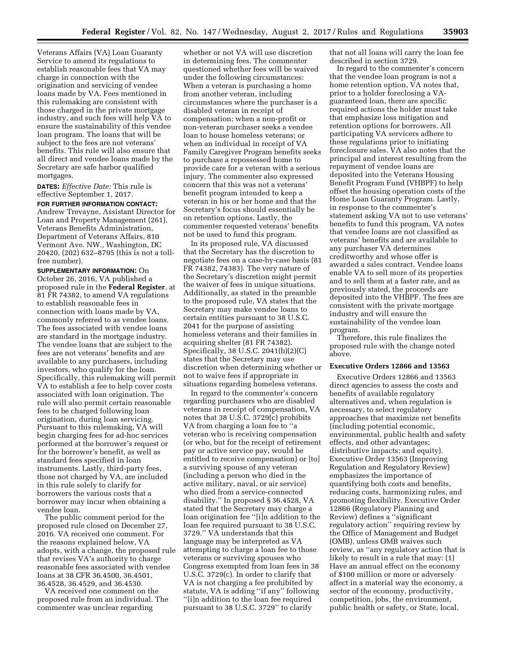Veterans Affairs (VA) Loan Guaranty Service to amend its regulations to establish reasonable fees that VA may charge in connection with the origination and servicing of vendee loans made by VA. Fees mentioned in this rulemaking are consistent with those charged in the private mortgage industry, and such fees will help VA to ensure the sustainability of this vendee loan program. The loans that will be subject to the fees are not veterans' benefits. This rule will also ensure that all direct and vendee loans made by the Secretary are safe harbor qualified mortgages.

**DATES:** *Effective Date:* This rule is effective September 1, 2017.

**FOR FURTHER INFORMATION CONTACT:**  Andrew Trevayne, Assistant Director for Loan and Property Management (261), Veterans Benefits Administration, Department of Veterans Affairs, 810 Vermont Ave. NW., Washington, DC 20420, (202) 632–8795 (this is not a tollfree number).

**SUPPLEMENTARY INFORMATION:** On October 26, 2016, VA published a proposed rule in the **Federal Register**, at 81 FR 74382, to amend VA regulations to establish reasonable fees in connection with loans made by VA, commonly referred to as vendee loans. The fees associated with vendee loans are standard in the mortgage industry. The vendee loans that are subject to the fees are not veterans' benefits and are available to any purchasers, including investors, who qualify for the loan. Specifically, this rulemaking will permit VA to establish a fee to help cover costs associated with loan origination. The rule will also permit certain reasonable fees to be charged following loan origination, during loan servicing. Pursuant to this rulemaking, VA will begin charging fees for ad-hoc services performed at the borrower's request or for the borrower's benefit, as well as standard fees specified in loan instruments. Lastly, third-party fees, those not charged by VA, are included in this rule solely to clarify for borrowers the various costs that a borrower may incur when obtaining a vendee loan.

The public comment period for the proposed rule closed on December 27, 2016. VA received one comment. For the reasons explained below, VA adopts, with a change, the proposed rule that revises VA's authority to charge reasonable fees associated with vendee loans at 38 CFR 36.4500, 36.4501, 36.4528, 36.4529, and 36.4530.

VA received one comment on the proposed rule from an individual. The commenter was unclear regarding

whether or not VA will use discretion in determining fees. The commenter questioned whether fees will be waived under the following circumstances: When a veteran is purchasing a home from another veteran, including circumstances where the purchaser is a disabled veteran in receipt of compensation; when a non-profit or non-veteran purchaser seeks a vendee loan to house homeless veterans; or when an individual in receipt of VA Family Caregiver Program benefits seeks to purchase a repossessed home to provide care for a veteran with a serious injury. The commenter also expressed concern that this was not a veterans' benefit program intended to keep a veteran in his or her home and that the Secretary's focus should essentially be on retention options. Lastly, the commenter requested veterans' benefits not be used to fund this program.

In its proposed rule, VA discussed that the Secretary has the discretion to negotiate fees on a case-by-case basis (81 FR 74382, 74383). The very nature of the Secretary's discretion might permit the waiver of fees in unique situations. Additionally, as stated in the preamble to the proposed rule, VA states that the Secretary may make vendee loans to certain entities pursuant to 38 U.S.C. 2041 for the purpose of assisting homeless veterans and their families in acquiring shelter (81 FR 74382). Specifically, 38 U.S.C. 2041(b)(2)(C) states that the Secretary may use discretion when determining whether or not to waive fees if appropriate in situations regarding homeless veterans.

In regard to the commenter's concern regarding purchasers who are disabled veterans in receipt of compensation, VA notes that 38 U.S.C. 3729(c) prohibits VA from charging a loan fee to ''a veteran who is receiving compensation (or who, but for the receipt of retirement pay or active service pay, would be entitled to receive compensation) or [to] a surviving spouse of any veteran (including a person who died in the active military, naval, or air service) who died from a service-connected disability.'' In proposed § 36.4528, VA stated that the Secretary may charge a loan origination fee ''[i]n addition to the loan fee required pursuant to 38 U.S.C. 3729.'' VA understands that this language may be interpreted as VA attempting to charge a loan fee to those veterans or surviving spouses who Congress exempted from loan fees in 38 U.S.C. 3729(c). In order to clarify that VA is not charging a fee prohibited by statute, VA is adding ''if any'' following ''[i]n addition to the loan fee required pursuant to 38 U.S.C. 3729'' to clarify

that not all loans will carry the loan fee described in section 3729.

In regard to the commenter's concern that the vendee loan program is not a home retention option, VA notes that, prior to a holder foreclosing a VAguaranteed loan, there are specific required actions the holder must take that emphasize loss mitigation and retention options for borrowers. All participating VA servicers adhere to these regulations prior to initiating foreclosure sales. VA also notes that the principal and interest resulting from the repayment of vendee loans are deposited into the Veterans Housing Benefit Program Fund (VHBPF) to help offset the housing operation costs of the Home Loan Guaranty Program. Lastly, in response to the commenter's statement asking VA not to use veterans' benefits to fund this program, VA notes that vendee loans are not classified as veterans' benefits and are available to any purchaser VA determines creditworthy and whose offer is awarded a sales contract. Vendee loans enable VA to sell more of its properties and to sell them at a faster rate, and as previously stated, the proceeds are deposited into the VHBPF. The fees are consistent with the private mortgage industry and will ensure the sustainability of the vendee loan program.

Therefore, this rule finalizes the proposed rule with the change noted above.

## **Executive Orders 12866 and 13563**

Executive Orders 12866 and 13563 direct agencies to assess the costs and benefits of available regulatory alternatives and, when regulation is necessary, to select regulatory approaches that maximize net benefits (including potential economic, environmental, public health and safety effects, and other advantages; distributive impacts; and equity). Executive Order 13563 (Improving Regulation and Regulatory Review) emphasizes the importance of quantifying both costs and benefits, reducing costs, harmonizing rules, and promoting flexibility. Executive Order 12866 (Regulatory Planning and Review) defines a ''significant regulatory action'' requiring review by the Office of Management and Budget (OMB), unless OMB waives such review, as ''any regulatory action that is likely to result in a rule that may: (1) Have an annual effect on the economy of \$100 million or more or adversely affect in a material way the economy, a sector of the economy, productivity, competition, jobs, the environment, public health or safety, or State, local,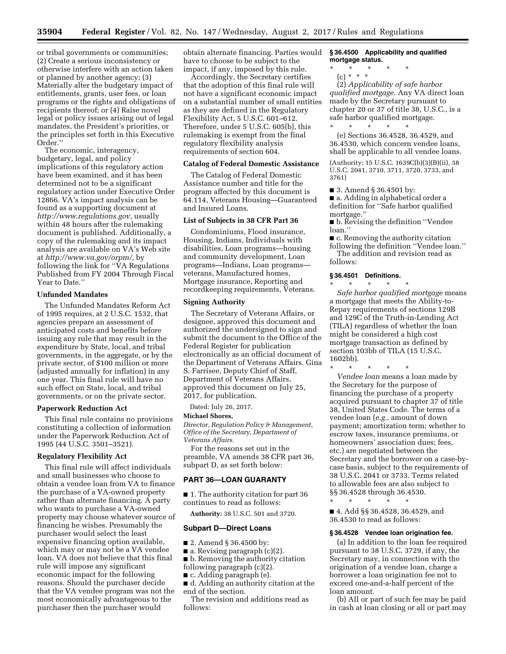or tribal governments or communities; (2) Create a serious inconsistency or otherwise interfere with an action taken or planned by another agency; (3) Materially alter the budgetary impact of entitlements, grants, user fees, or loan programs or the rights and obligations of recipients thereof; or (4) Raise novel legal or policy issues arising out of legal mandates, the President's priorities, or the principles set forth in this Executive Order.''

The economic, interagency, budgetary, legal, and policy implications of this regulatory action have been examined, and it has been determined not to be a significant regulatory action under Executive Order 12866. VA's impact analysis can be found as a supporting document at *[http://www.regulations.gov,](http://www.regulations.gov)* usually within 48 hours after the rulemaking document is published. Additionally, a copy of the rulemaking and its impact analysis are available on VA's Web site at *[http://www.va.gov/orpm/,](http://www.va.gov/orpm/)* by following the link for ''VA Regulations Published from FY 2004 Through Fiscal Year to Date.''

### **Unfunded Mandates**

The Unfunded Mandates Reform Act of 1995 requires, at 2 U.S.C. 1532, that agencies prepare an assessment of anticipated costs and benefits before issuing any rule that may result in the expenditure by State, local, and tribal governments, in the aggregate, or by the private sector, of \$100 million or more (adjusted annually for inflation) in any one year. This final rule will have no such effect on State, local, and tribal governments, or on the private sector.

### **Paperwork Reduction Act**

This final rule contains no provisions constituting a collection of information under the Paperwork Reduction Act of 1995 (44 U.S.C. 3501–3521).

### **Regulatory Flexibility Act**

This final rule will affect individuals and small businesses who choose to obtain a vendee loan from VA to finance the purchase of a VA-owned property rather than alternate financing. A party who wants to purchase a VA-owned property may choose whatever source of financing he wishes. Presumably the purchaser would select the least expensive financing option available, which may or may not be a VA vendee loan. VA does not believe that this final rule will impose any significant economic impact for the following reasons. Should the purchaser decide that the VA vendee program was not the most economically advantageous to the purchaser then the purchaser would

obtain alternate financing. Parties would have to choose to be subject to the impact, if any, imposed by this rule.

Accordingly, the Secretary certifies that the adoption of this final rule will not have a significant economic impact on a substantial number of small entities as they are defined in the Regulatory Flexibility Act, 5 U.S.C. 601–612. Therefore, under 5 U.S.C. 605(b), this rulemaking is exempt from the final regulatory flexibility analysis requirements of section 604.

## **Catalog of Federal Domestic Assistance**

The Catalog of Federal Domestic Assistance number and title for the program affected by this document is 64.114, Veterans Housing—Guaranteed and Insured Loans.

# **List of Subjects in 38 CFR Part 36**

Condominiums, Flood insurance, Housing, Indians, Individuals with disabilities, Loan programs—housing and community development, Loan programs—Indians, Loan programs veterans, Manufactured homes, Mortgage insurance, Reporting and recordkeeping requirements, Veterans.

## **Signing Authority**

The Secretary of Veterans Affairs, or designee, approved this document and authorized the undersigned to sign and submit the document to the Office of the Federal Register for publication electronically as an official document of the Department of Veterans Affairs. Gina S. Farrisee, Deputy Chief of Staff, Department of Veterans Affairs, approved this document on July 25, 2017, for publication.

Dated: July 26, 2017.

#### **Michael Shores,**

*Director, Regulation Policy & Management, Office of the Secretary, Department of Veterans Affairs.* 

For the reasons set out in the preamble, VA amends 38 CFR part 36, subpart D, as set forth below:

# **PART 36—LOAN GUARANTY**

■ 1. The authority citation for part 36 continues to read as follows:

**Authority:** 38 U.S.C. 501 and 3720.

#### **Subpart D—Direct Loans**

- 2. Amend § 36.4500 by:
- $\blacksquare$  a. Revising paragraph (c)(2).
- b. Removing the authority citation
- following paragraph (c)(2).
- c. Adding paragraph (e).
- d. Adding an authority citation at the end of the section.

The revision and additions read as follows:

## **§ 36.4500 Applicability and qualified mortgage status.**

- \* \* \* \* \*
- (c) \* \* \*

(2) *Applicability of safe harbor qualified mortgage.* Any VA direct loan made by the Secretary pursuant to chapter 20 or 37 of title 38, U.S.C., is a safe harbor qualified mortgage. \* \* \* \* \*

(e) Sections 36.4528, 36.4529, and 36.4530, which concern vendee loans, shall be applicable to all vendee loans.

(Authority: 15 U.S.C. 1639C(b)(3)(B)(ii), 38 U.S.C. 2041, 3710, 3711, 3720, 3733, and 3761)

■ 3. Amend § 36.4501 by:

■ a. Adding in alphabetical order a definition for ''Safe harbor qualified mortgage.''

- b. Revising the definition "Vendee loan.''
- c. Removing the authority citation
- following the definition ''Vendee loan.'' The addition and revision read as follows:

### **§ 36.4501 Definitions.**  \* \* \* \* \*

*Safe harbor qualified mortgage* means a mortgage that meets the Ability-to-Repay requirements of sections 129B and 129C of the Truth-in-Lending Act (TILA) regardless of whether the loan might be considered a high cost mortgage transaction as defined by section 103bb of TILA (15 U.S.C. 1602bb).

\* \* \* \* \* *Vendee loan* means a loan made by the Secretary for the purpose of financing the purchase of a property acquired pursuant to chapter 37 of title 38, United States Code. The terms of a vendee loan (*e.g.,* amount of down payment; amortization term; whether to escrow taxes, insurance premiums, or homeowners' association dues; fees, etc.) are negotiated between the Secretary and the borrower on a case-bycase basis, subject to the requirements of 38 U.S.C. 2041 or 3733. Terms related to allowable fees are also subject to §§ 36.4528 through 36.4530.

■ 4. Add §§ 36.4528, 36.4529, and 36.4530 to read as follows:

\* \* \* \* \*

### **§ 36.4528 Vendee loan origination fee.**

(a) In addition to the loan fee required pursuant to 38 U.S.C. 3729, if any, the Secretary may, in connection with the origination of a vendee loan, charge a borrower a loan origination fee not to exceed one-and-a-half percent of the loan amount.

(b) All or part of such fee may be paid in cash at loan closing or all or part may